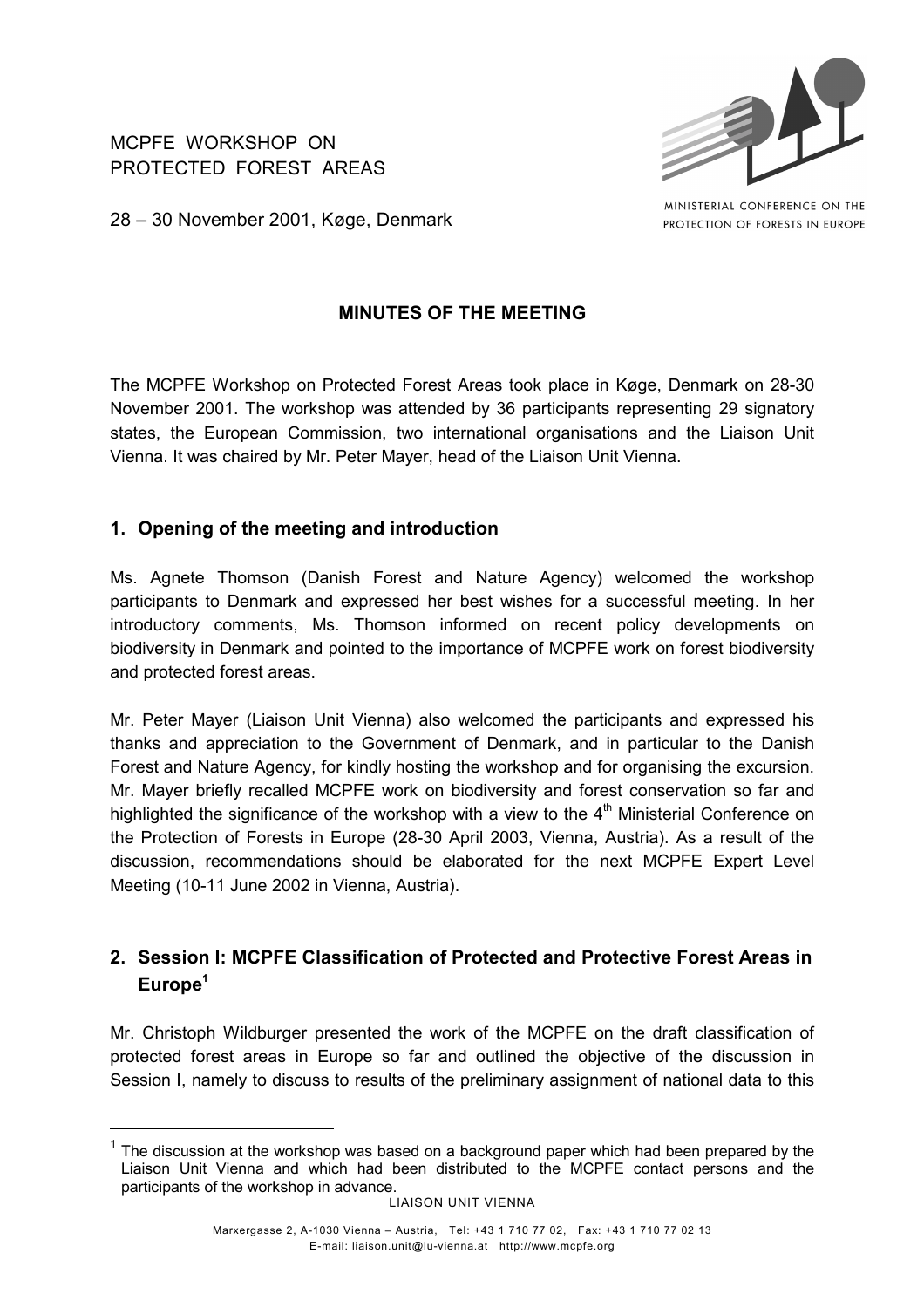MCPFE WORKSHOP ON PROTECTED FOREST AREAS



MINISTERIAL CONFERENCE ON THE PROTECTION OF FORESTS IN EUROPE

28 – 30 November 2001, Køge, Denmark

## **MINUTES OF THE MEETING**

The MCPFE Workshop on Protected Forest Areas took place in Køge, Denmark on 28-30 November 2001. The workshop was attended by 36 participants representing 29 signatory states, the European Commission, two international organisations and the Liaison Unit Vienna. It was chaired by Mr. Peter Mayer, head of the Liaison Unit Vienna.

## **1. Opening of the meeting and introduction**

Ms. Agnete Thomson (Danish Forest and Nature Agency) welcomed the workshop participants to Denmark and expressed her best wishes for a successful meeting. In her introductory comments, Ms. Thomson informed on recent policy developments on biodiversity in Denmark and pointed to the importance of MCPFE work on forest biodiversity and protected forest areas.

Mr. Peter Mayer (Liaison Unit Vienna) also welcomed the participants and expressed his thanks and appreciation to the Government of Denmark, and in particular to the Danish Forest and Nature Agency, for kindly hosting the workshop and for organising the excursion. Mr. Mayer briefly recalled MCPFE work on biodiversity and forest conservation so far and highlighted the significance of the workshop with a view to the  $4<sup>th</sup>$  Ministerial Conference on the Protection of Forests in Europe (28-30 April 2003, Vienna, Austria). As a result of the discussion, recommendations should be elaborated for the next MCPFE Expert Level Meeting (10-11 June 2002 in Vienna, Austria).

# **2. Session I: MCPFE Classification of Protected and Protective Forest Areas in Europe<sup>1</sup>**

Mr. Christoph Wildburger presented the work of the MCPFE on the draft classification of protected forest areas in Europe so far and outlined the objective of the discussion in Session I, namely to discuss to results of the preliminary assignment of national data to this

<sup>1</sup> The discussion at the workshop was based on a background paper which had been prepared by the Liaison Unit Vienna and which had been distributed to the MCPFE contact persons and the participants of the workshop in advance.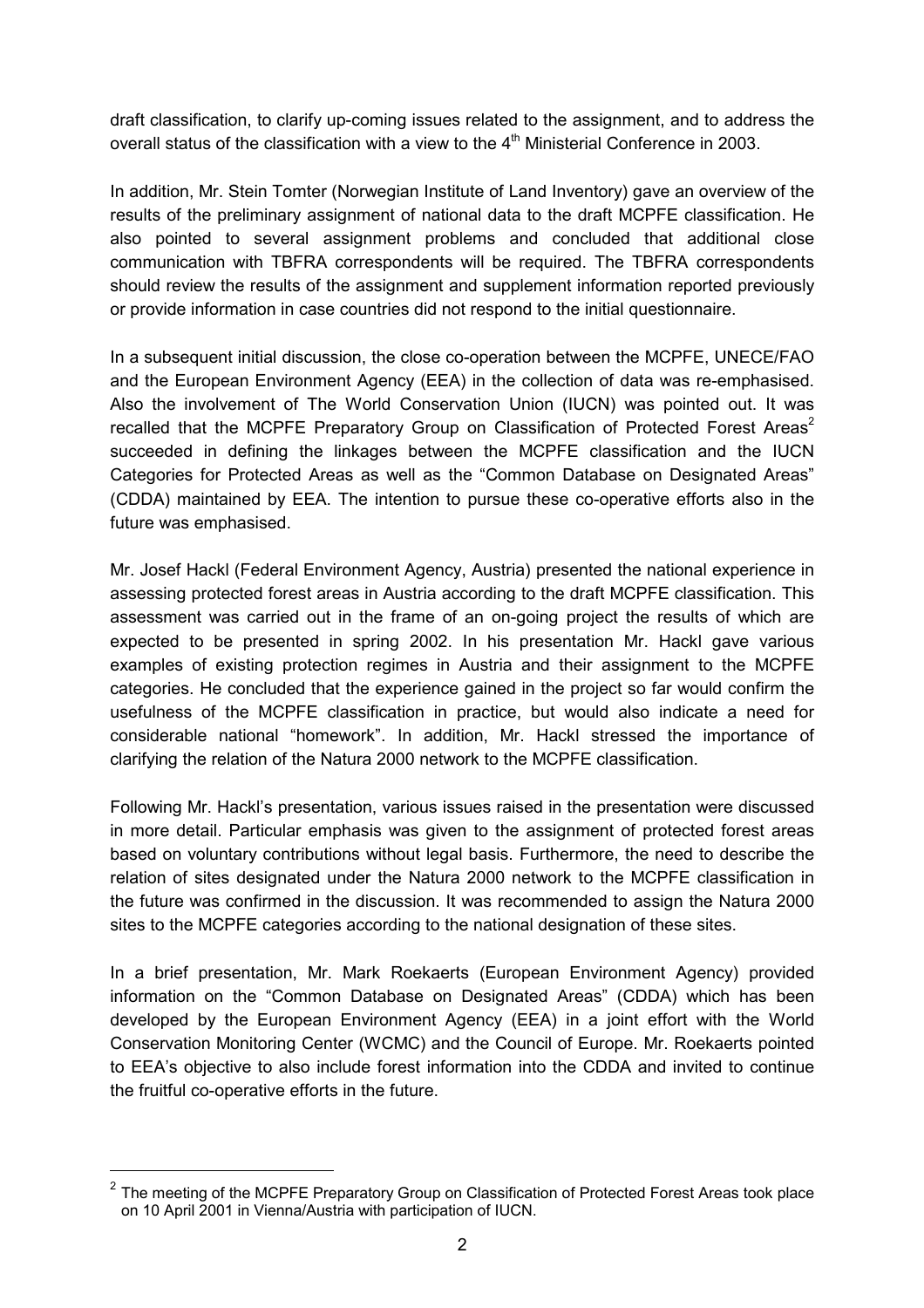draft classification, to clarify up-coming issues related to the assignment, and to address the overall status of the classification with a view to the  $4<sup>th</sup>$  Ministerial Conference in 2003.

In addition, Mr. Stein Tomter (Norwegian Institute of Land Inventory) gave an overview of the results of the preliminary assignment of national data to the draft MCPFE classification. He also pointed to several assignment problems and concluded that additional close communication with TBFRA correspondents will be required. The TBFRA correspondents should review the results of the assignment and supplement information reported previously or provide information in case countries did not respond to the initial questionnaire.

In a subsequent initial discussion, the close co-operation between the MCPFE, UNECE/FAO and the European Environment Agency (EEA) in the collection of data was re-emphasised. Also the involvement of The World Conservation Union (IUCN) was pointed out. It was recalled that the MCPFE Preparatory Group on Classification of Protected Forest Areas<sup>2</sup> succeeded in defining the linkages between the MCPFE classification and the IUCN Categories for Protected Areas as well as the "Common Database on Designated Areas" (CDDA) maintained by EEA. The intention to pursue these co-operative efforts also in the future was emphasised.

Mr. Josef Hackl (Federal Environment Agency, Austria) presented the national experience in assessing protected forest areas in Austria according to the draft MCPFE classification. This assessment was carried out in the frame of an on-going project the results of which are expected to be presented in spring 2002. In his presentation Mr. Hackl gave various examples of existing protection regimes in Austria and their assignment to the MCPFE categories. He concluded that the experience gained in the project so far would confirm the usefulness of the MCPFE classification in practice, but would also indicate a need for considerable national "homework". In addition, Mr. Hackl stressed the importance of clarifying the relation of the Natura 2000 network to the MCPFE classification.

Following Mr. Hackl's presentation, various issues raised in the presentation were discussed in more detail. Particular emphasis was given to the assignment of protected forest areas based on voluntary contributions without legal basis. Furthermore, the need to describe the relation of sites designated under the Natura 2000 network to the MCPFE classification in the future was confirmed in the discussion. It was recommended to assign the Natura 2000 sites to the MCPFE categories according to the national designation of these sites.

In a brief presentation, Mr. Mark Roekaerts (European Environment Agency) provided information on the "Common Database on Designated Areas" (CDDA) which has been developed by the European Environment Agency (EEA) in a joint effort with the World Conservation Monitoring Center (WCMC) and the Council of Europe. Mr. Roekaerts pointed to EEA's objective to also include forest information into the CDDA and invited to continue the fruitful co-operative efforts in the future.

<sup>2</sup> The meeting of the MCPFE Preparatory Group on Classification of Protected Forest Areas took place on 10 April 2001 in Vienna/Austria with participation of IUCN.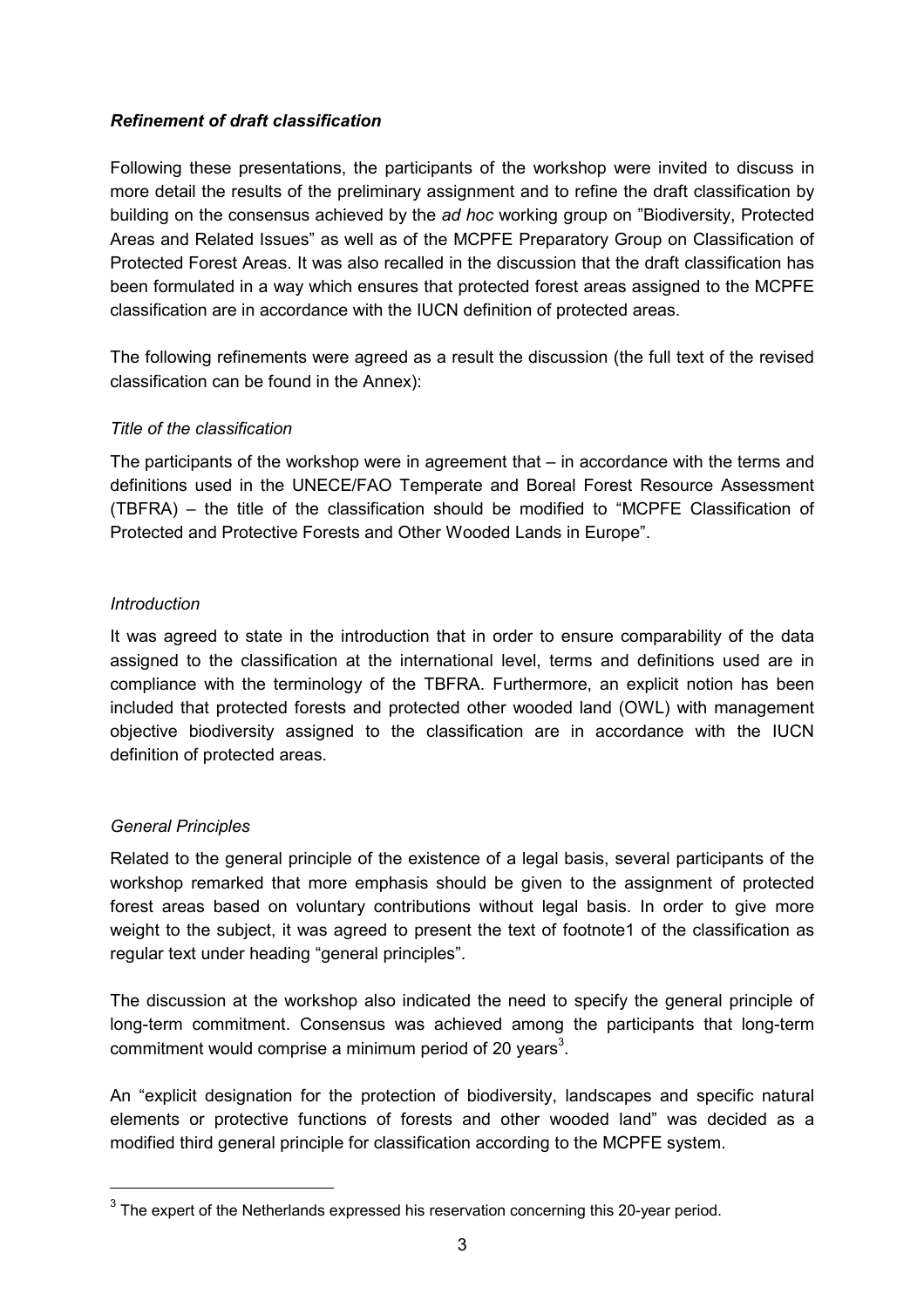### *Refinement of draft classification*

Following these presentations, the participants of the workshop were invited to discuss in more detail the results of the preliminary assignment and to refine the draft classification by building on the consensus achieved by the *ad hoc* working group on "Biodiversity, Protected Areas and Related Issues" as well as of the MCPFE Preparatory Group on Classification of Protected Forest Areas. It was also recalled in the discussion that the draft classification has been formulated in a way which ensures that protected forest areas assigned to the MCPFE classification are in accordance with the IUCN definition of protected areas.

The following refinements were agreed as a result the discussion (the full text of the revised classification can be found in the Annex):

### *Title of the classification*

The participants of the workshop were in agreement that  $-$  in accordance with the terms and definitions used in the UNECE/FAO Temperate and Boreal Forest Resource Assessment (TBFRA) – the title of the classification should be modified to "MCPFE Classification of Protected and Protective Forests and Other Wooded Lands in Europe".

### *Introduction*

It was agreed to state in the introduction that in order to ensure comparability of the data assigned to the classification at the international level, terms and definitions used are in compliance with the terminology of the TBFRA. Furthermore, an explicit notion has been included that protected forests and protected other wooded land (OWL) with management objective biodiversity assigned to the classification are in accordance with the IUCN definition of protected areas.

### *General Principles*

Related to the general principle of the existence of a legal basis, several participants of the workshop remarked that more emphasis should be given to the assignment of protected forest areas based on voluntary contributions without legal basis. In order to give more weight to the subject, it was agreed to present the text of footnote1 of the classification as regular text under heading "general principles".

The discussion at the workshop also indicated the need to specify the general principle of long-term commitment. Consensus was achieved among the participants that long-term commitment would comprise a minimum period of 20 years<sup>3</sup>.

An "explicit designation for the protection of biodiversity, landscapes and specific natural elements or protective functions of forests and other wooded land" was decided as a modified third general principle for classification according to the MCPFE system.

 $3$  The expert of the Netherlands expressed his reservation concerning this 20-year period.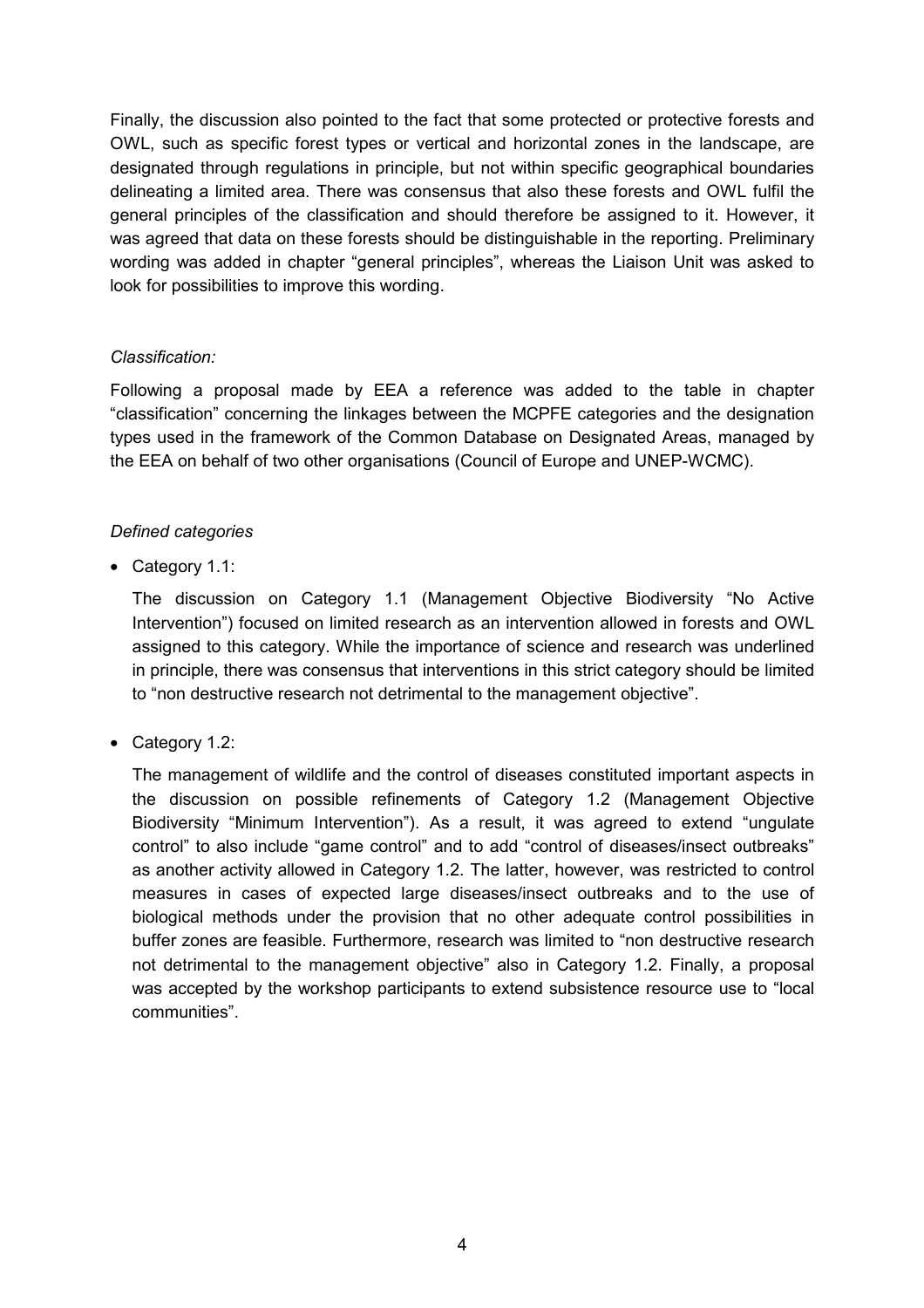Finally, the discussion also pointed to the fact that some protected or protective forests and OWL, such as specific forest types or vertical and horizontal zones in the landscape, are designated through regulations in principle, but not within specific geographical boundaries delineating a limited area. There was consensus that also these forests and OWL fulfil the general principles of the classification and should therefore be assigned to it. However, it was agreed that data on these forests should be distinguishable in the reporting. Preliminary wording was added in chapter "general principles", whereas the Liaison Unit was asked to look for possibilities to improve this wording.

### *Classification:*

Following a proposal made by EEA a reference was added to the table in chapter "classification" concerning the linkages between the MCPFE categories and the designation types used in the framework of the Common Database on Designated Areas, managed by the EEA on behalf of two other organisations (Council of Europe and UNEP-WCMC).

### *Defined categories*

• Category 1.1:

The discussion on Category 1.1 (Management Objective Biodiversity "No Active Intervention") focused on limited research as an intervention allowed in forests and OWL assigned to this category. While the importance of science and research was underlined in principle, there was consensus that interventions in this strict category should be limited to "non destructive research not detrimental to the management objective".

• Category 1.2:

The management of wildlife and the control of diseases constituted important aspects in the discussion on possible refinements of Category 1.2 (Management Objective Biodiversity "Minimum Intervention"). As a result, it was agreed to extend "ungulate control" to also include "game control" and to add "control of diseases/insect outbreaks" as another activity allowed in Category 1.2. The latter, however, was restricted to control measures in cases of expected large diseases/insect outbreaks and to the use of biological methods under the provision that no other adequate control possibilities in buffer zones are feasible. Furthermore, research was limited to "non destructive research not detrimental to the management objective" also in Category 1.2. Finally, a proposal was accepted by the workshop participants to extend subsistence resource use to "local communities".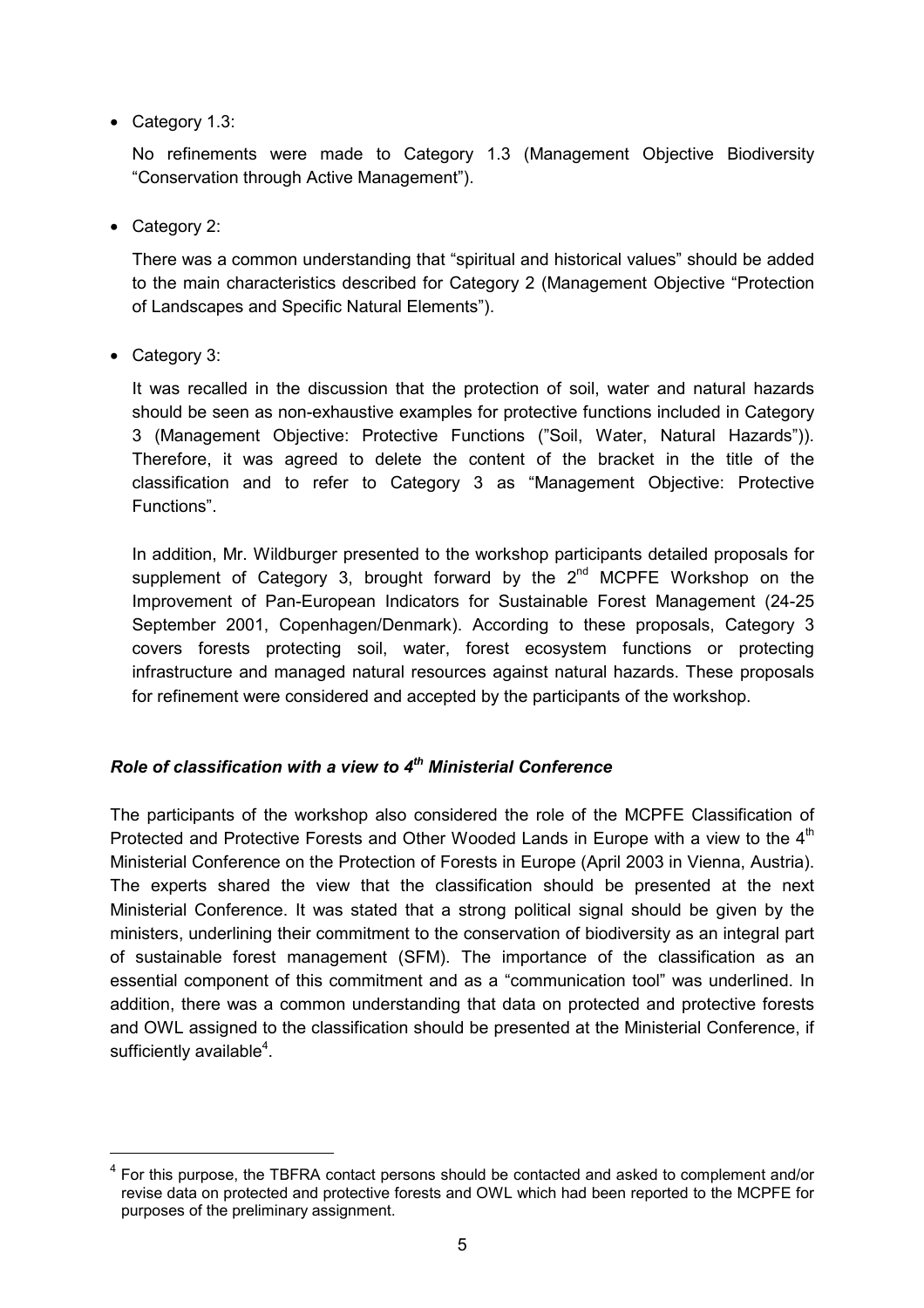• Category 1.3:

No refinements were made to Category 1.3 (Management Objective Biodiversity "Conservation through Active Management").

• Category 2:

There was a common understanding that "spiritual and historical values" should be added to the main characteristics described for Category 2 (Management Objective "Protection of Landscapes and Specific Natural Elements").

• Category 3:

 $\overline{a}$ 

It was recalled in the discussion that the protection of soil, water and natural hazards should be seen as non-exhaustive examples for protective functions included in Category 3 (Management Objective: Protective Functions ("Soil, Water, Natural Hazards")). Therefore, it was agreed to delete the content of the bracket in the title of the classification and to refer to Category 3 as "Management Objective: Protective Functions".

In addition, Mr. Wildburger presented to the workshop participants detailed proposals for supplement of Category 3, brought forward by the  $2^{nd}$  MCPFE Workshop on the Improvement of Pan-European Indicators for Sustainable Forest Management (24-25 September 2001, Copenhagen/Denmark). According to these proposals, Category 3 covers forests protecting soil, water, forest ecosystem functions or protecting infrastructure and managed natural resources against natural hazards. These proposals for refinement were considered and accepted by the participants of the workshop.

## *Role of classification with a view to 4th Ministerial Conference*

The participants of the workshop also considered the role of the MCPFE Classification of Protected and Protective Forests and Other Wooded Lands in Europe with a view to the 4<sup>th</sup> Ministerial Conference on the Protection of Forests in Europe (April 2003 in Vienna, Austria). The experts shared the view that the classification should be presented at the next Ministerial Conference. It was stated that a strong political signal should be given by the ministers, underlining their commitment to the conservation of biodiversity as an integral part of sustainable forest management (SFM). The importance of the classification as an essential component of this commitment and as a "communication tool" was underlined. In addition, there was a common understanding that data on protected and protective forests and OWL assigned to the classification should be presented at the Ministerial Conference, if sufficiently available $4$ .

<sup>4</sup> For this purpose, the TBFRA contact persons should be contacted and asked to complement and/or revise data on protected and protective forests and OWL which had been reported to the MCPFE for purposes of the preliminary assignment.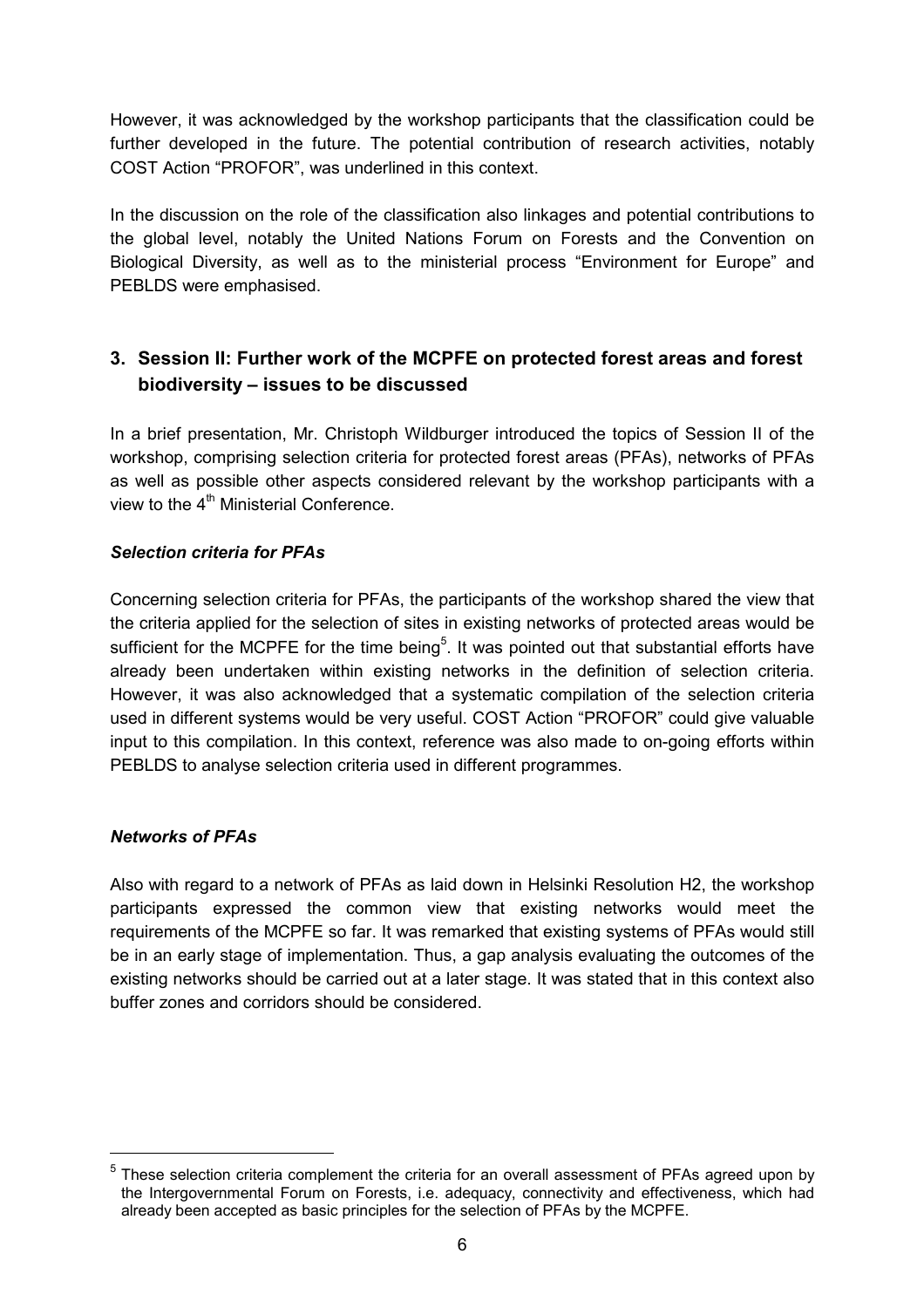However, it was acknowledged by the workshop participants that the classification could be further developed in the future. The potential contribution of research activities, notably COST Action "PROFOR", was underlined in this context.

In the discussion on the role of the classification also linkages and potential contributions to the global level, notably the United Nations Forum on Forests and the Convention on Biological Diversity, as well as to the ministerial process "Environment for Europe" and PEBLDS were emphasised.

# **3. Session II: Further work of the MCPFE on protected forest areas and forest biodiversity – issues to be discussed**

In a brief presentation, Mr. Christoph Wildburger introduced the topics of Session II of the workshop, comprising selection criteria for protected forest areas (PFAs), networks of PFAs as well as possible other aspects considered relevant by the workshop participants with a view to the  $4<sup>th</sup>$  Ministerial Conference.

## *Selection criteria for PFAs*

Concerning selection criteria for PFAs, the participants of the workshop shared the view that the criteria applied for the selection of sites in existing networks of protected areas would be sufficient for the MCPFE for the time being<sup>5</sup>. It was pointed out that substantial efforts have already been undertaken within existing networks in the definition of selection criteria. However, it was also acknowledged that a systematic compilation of the selection criteria used in different systems would be very useful. COST Action "PROFOR" could give valuable input to this compilation. In this context, reference was also made to on-going efforts within PEBLDS to analyse selection criteria used in different programmes.

## *Networks of PFAs*

 $\overline{a}$ 

Also with regard to a network of PFAs as laid down in Helsinki Resolution H2, the workshop participants expressed the common view that existing networks would meet the requirements of the MCPFE so far. It was remarked that existing systems of PFAs would still be in an early stage of implementation. Thus, a gap analysis evaluating the outcomes of the existing networks should be carried out at a later stage. It was stated that in this context also buffer zones and corridors should be considered.

 $<sup>5</sup>$  These selection criteria complement the criteria for an overall assessment of PFAs agreed upon by</sup> the Intergovernmental Forum on Forests, i.e. adequacy, connectivity and effectiveness, which had already been accepted as basic principles for the selection of PFAs by the MCPFE.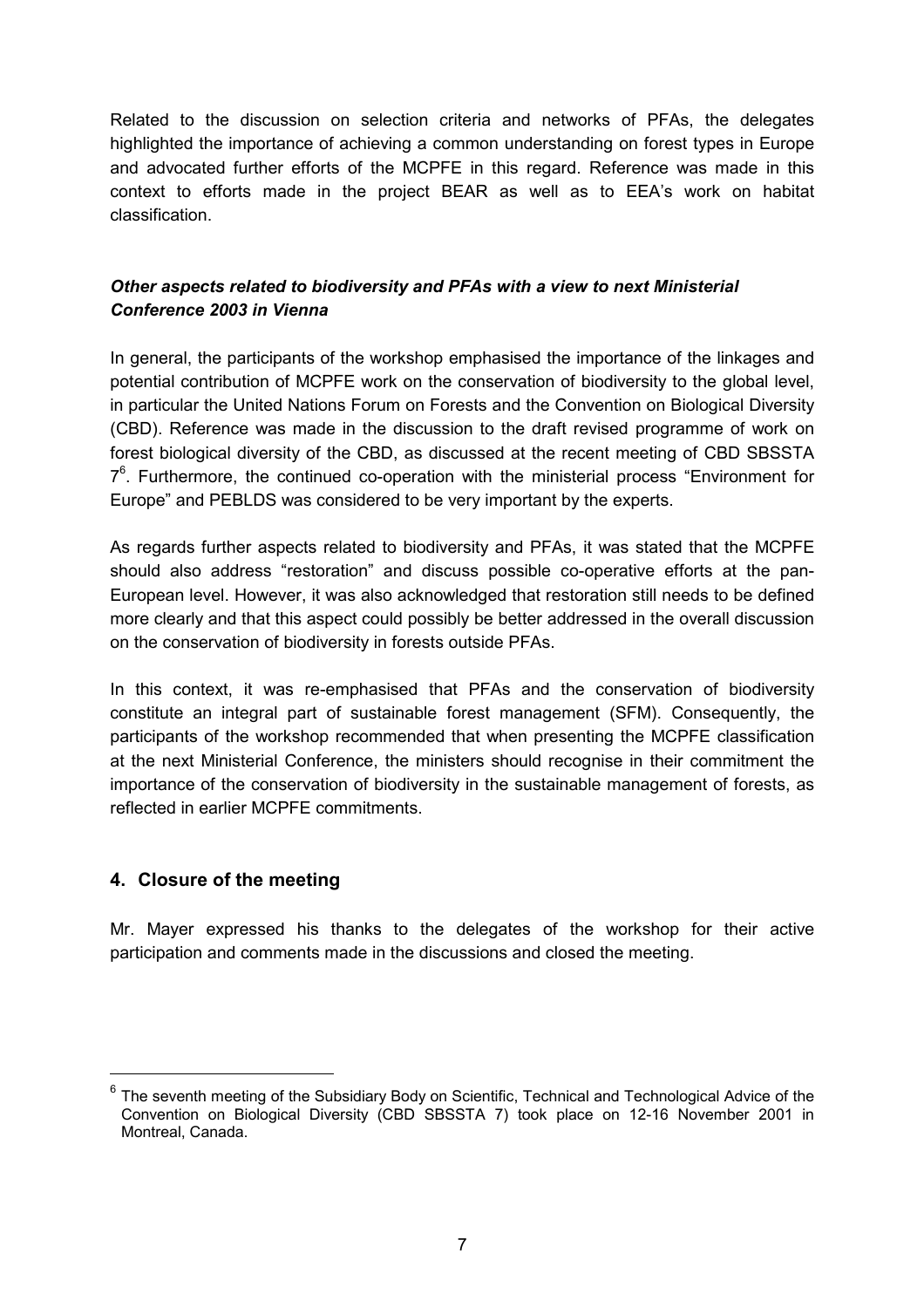Related to the discussion on selection criteria and networks of PFAs, the delegates highlighted the importance of achieving a common understanding on forest types in Europe and advocated further efforts of the MCPFE in this regard. Reference was made in this context to efforts made in the project BEAR as well as to EEA's work on habitat classification.

## *Other aspects related to biodiversity and PFAs with a view to next Ministerial Conference 2003 in Vienna*

In general, the participants of the workshop emphasised the importance of the linkages and potential contribution of MCPFE work on the conservation of biodiversity to the global level, in particular the United Nations Forum on Forests and the Convention on Biological Diversity (CBD). Reference was made in the discussion to the draft revised programme of work on forest biological diversity of the CBD, as discussed at the recent meeting of CBD SBSSTA  $7<sup>6</sup>$ . Furthermore, the continued co-operation with the ministerial process "Environment for Europe" and PEBLDS was considered to be very important by the experts.

As regards further aspects related to biodiversity and PFAs, it was stated that the MCPFE should also address "restoration" and discuss possible co-operative efforts at the pan-European level. However, it was also acknowledged that restoration still needs to be defined more clearly and that this aspect could possibly be better addressed in the overall discussion on the conservation of biodiversity in forests outside PFAs.

In this context, it was re-emphasised that PFAs and the conservation of biodiversity constitute an integral part of sustainable forest management (SFM). Consequently, the participants of the workshop recommended that when presenting the MCPFE classification at the next Ministerial Conference, the ministers should recognise in their commitment the importance of the conservation of biodiversity in the sustainable management of forests, as reflected in earlier MCPFE commitments.

## **4. Closure of the meeting**

Mr. Mayer expressed his thanks to the delegates of the workshop for their active participation and comments made in the discussions and closed the meeting.

The seventh meeting of the Subsidiary Body on Scientific, Technical and Technological Advice of the Convention on Biological Diversity (CBD SBSSTA 7) took place on 12-16 November 2001 in Montreal, Canada.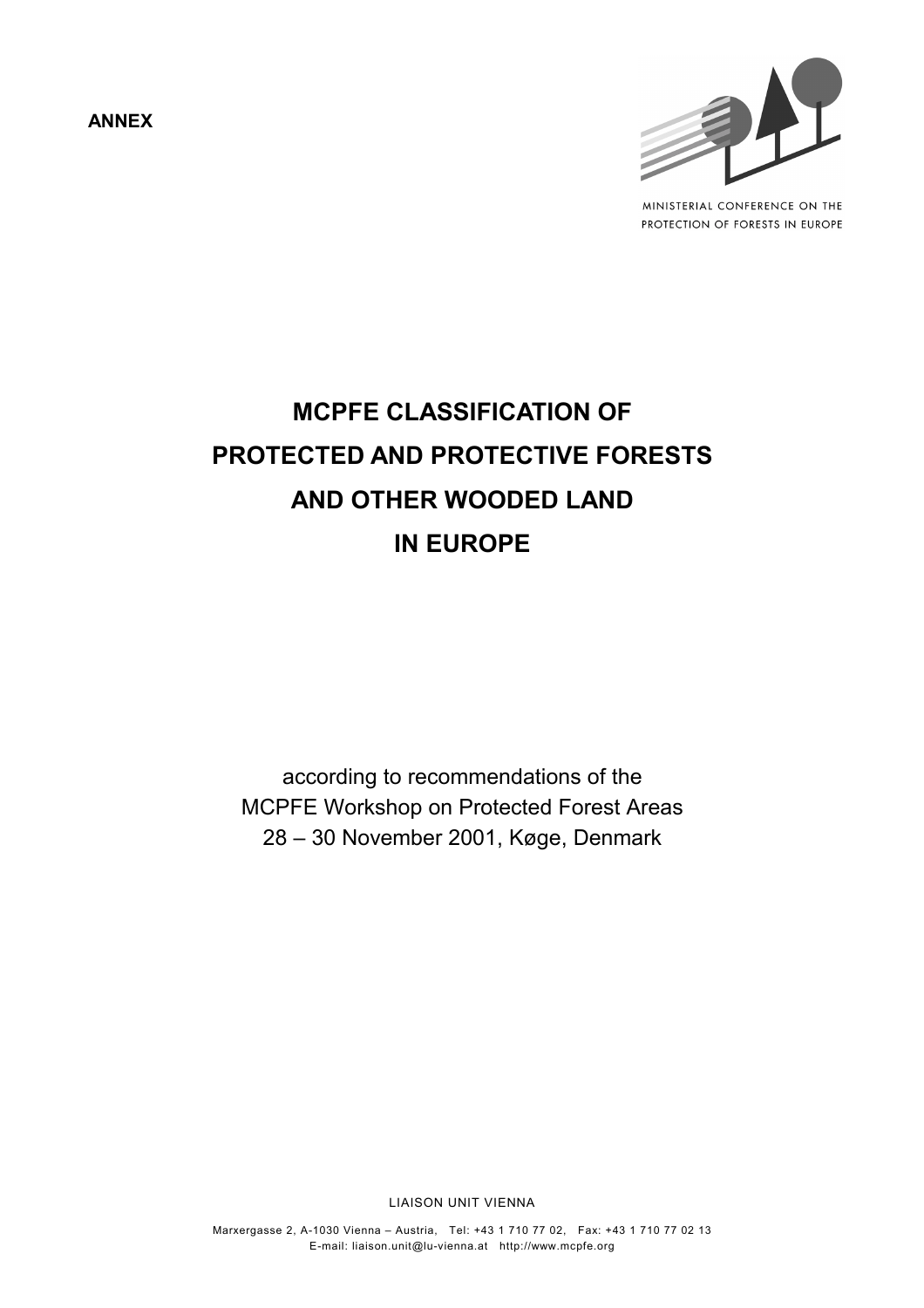**ANNEX**



MINISTERIAL CONFERENCE ON THE PROTECTION OF FORESTS IN EUROPE

# **MCPFE CLASSIFICATION OF PROTECTED AND PROTECTIVE FORESTS AND OTHER WOODED LAND IN EUROPE**

according to recommendations of the MCPFE Workshop on Protected Forest Areas 28 – 30 November 2001, Køge, Denmark

LIAISON UNIT VIENNA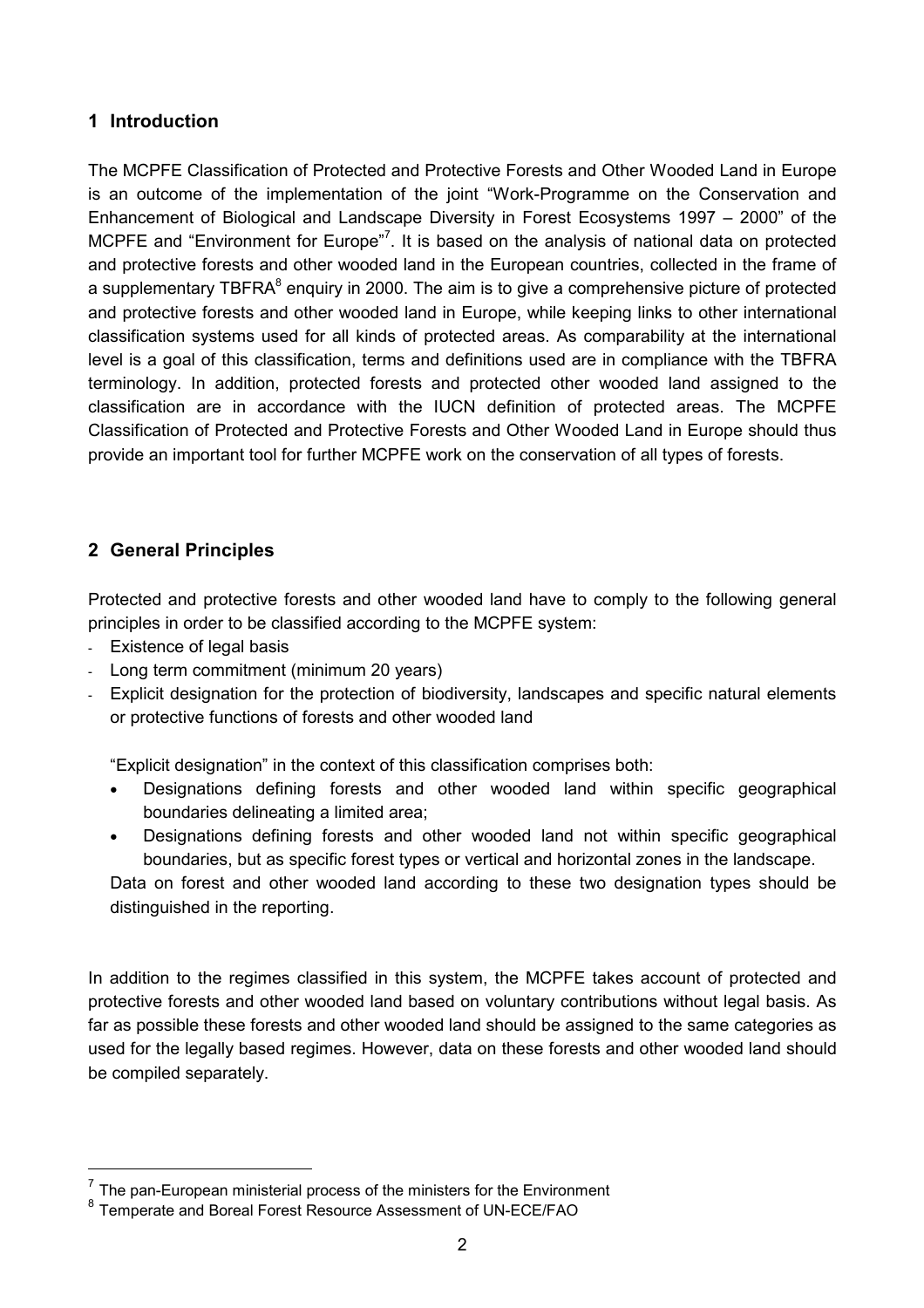## **1 Introduction**

The MCPFE Classification of Protected and Protective Forests and Other Wooded Land in Europe is an outcome of the implementation of the joint "Work-Programme on the Conservation and Enhancement of Biological and Landscape Diversity in Forest Ecosystems 1997 – 2000" of the MCPFE and "Environment for Europe"<sup>7</sup>. It is based on the analysis of national data on protected and protective forests and other wooded land in the European countries, collected in the frame of a supplementary TBFRA $^8$  enquiry in 2000. The aim is to give a comprehensive picture of protected and protective forests and other wooded land in Europe, while keeping links to other international classification systems used for all kinds of protected areas. As comparability at the international level is a goal of this classification, terms and definitions used are in compliance with the TBFRA terminology. In addition, protected forests and protected other wooded land assigned to the classification are in accordance with the IUCN definition of protected areas. The MCPFE Classification of Protected and Protective Forests and Other Wooded Land in Europe should thus provide an important tool for further MCPFE work on the conservation of all types of forests.

# **2 General Principles**

Protected and protective forests and other wooded land have to comply to the following general principles in order to be classified according to the MCPFE system:

- Existence of legal basis

- Long term commitment (minimum 20 years)
- Explicit designation for the protection of biodiversity, landscapes and specific natural elements or protective functions of forests and other wooded land

"Explicit designation" in the context of this classification comprises both:

- Designations defining forests and other wooded land within specific geographical boundaries delineating a limited area;
- Designations defining forests and other wooded land not within specific geographical boundaries, but as specific forest types or vertical and horizontal zones in the landscape.

Data on forest and other wooded land according to these two designation types should be distinguished in the reporting.

In addition to the regimes classified in this system, the MCPFE takes account of protected and protective forests and other wooded land based on voluntary contributions without legal basis. As far as possible these forests and other wooded land should be assigned to the same categories as used for the legally based regimes. However, data on these forests and other wooded land should be compiled separately.

 $7$  The pan-European ministerial process of the ministers for the Environment

<sup>&</sup>lt;sup>8</sup> Temperate and Boreal Forest Resource Assessment of UN-ECE/FAO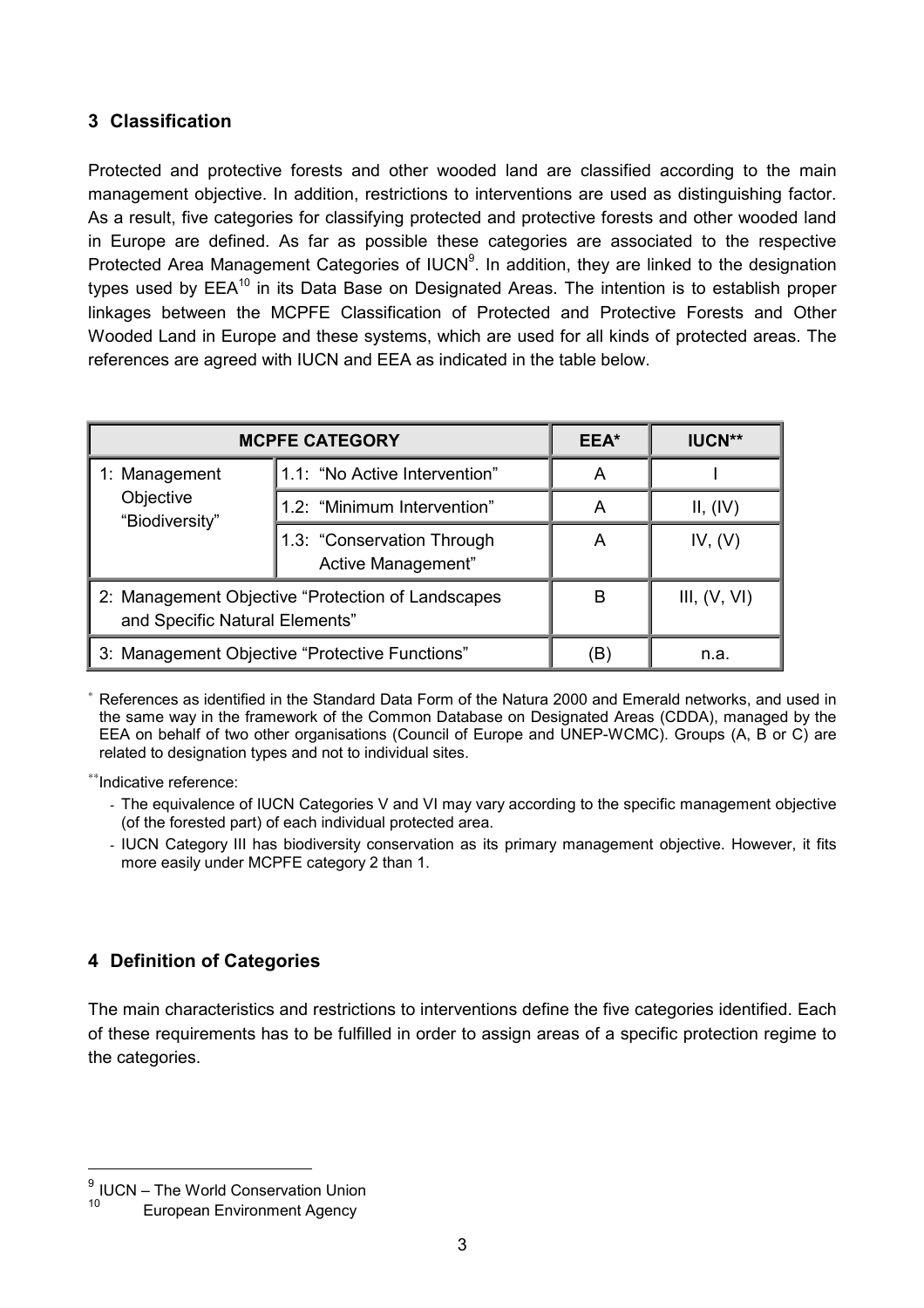# **3 Classification**

Protected and protective forests and other wooded land are classified according to the main management objective. In addition, restrictions to interventions are used as distinguishing factor. As a result, five categories for classifying protected and protective forests and other wooded land in Europe are defined. As far as possible these categories are associated to the respective Protected Area Management Categories of IUCN<sup>9</sup>. In addition, they are linked to the designation types used by  $EEA^{10}$  in its Data Base on Designated Areas. The intention is to establish proper linkages between the MCPFE Classification of Protected and Protective Forests and Other Wooded Land in Europe and these systems, which are used for all kinds of protected areas. The references are agreed with IUCN and EEA as indicated in the table below.

| <b>MCPFE CATEGORY</b>                                                                |                                                  | EEA* | <b>IUCN**</b>  |
|--------------------------------------------------------------------------------------|--------------------------------------------------|------|----------------|
| 1: Management<br>Objective<br>"Biodiversity"                                         | 1.1: "No Active Intervention"                    | Α    |                |
|                                                                                      | 1.2: "Minimum Intervention"                      | Α    | II, (IV)       |
|                                                                                      | 1.3: "Conservation Through<br>Active Management" | A    | IV, (V)        |
| 2: Management Objective "Protection of Landscapes"<br>and Specific Natural Elements" |                                                  | в    | III, $(V, VI)$ |
| 3: Management Objective "Protective Functions"                                       |                                                  | B    | n.a.           |

References as identified in the Standard Data Form of the Natura 2000 and Emerald networks, and used in the same way in the framework of the Common Database on Designated Areas (CDDA), managed by the EEA on behalf of two other organisations (Council of Europe and UNEP-WCMC). Groups (A, B or C) are related to designation types and not to individual sites.

∗∗Indicative reference:

- The equivalence of IUCN Categories V and VI may vary according to the specific management objective (of the forested part) of each individual protected area.
- IUCN Category III has biodiversity conservation as its primary management objective. However, it fits more easily under MCPFE category 2 than 1.

# **4 Definition of Categories**

The main characteristics and restrictions to interventions define the five categories identified. Each of these requirements has to be fulfilled in order to assign areas of a specific protection regime to the categories.

 $\frac{9}{10}$  IUCN – The World Conservation Union

**European Environment Agency**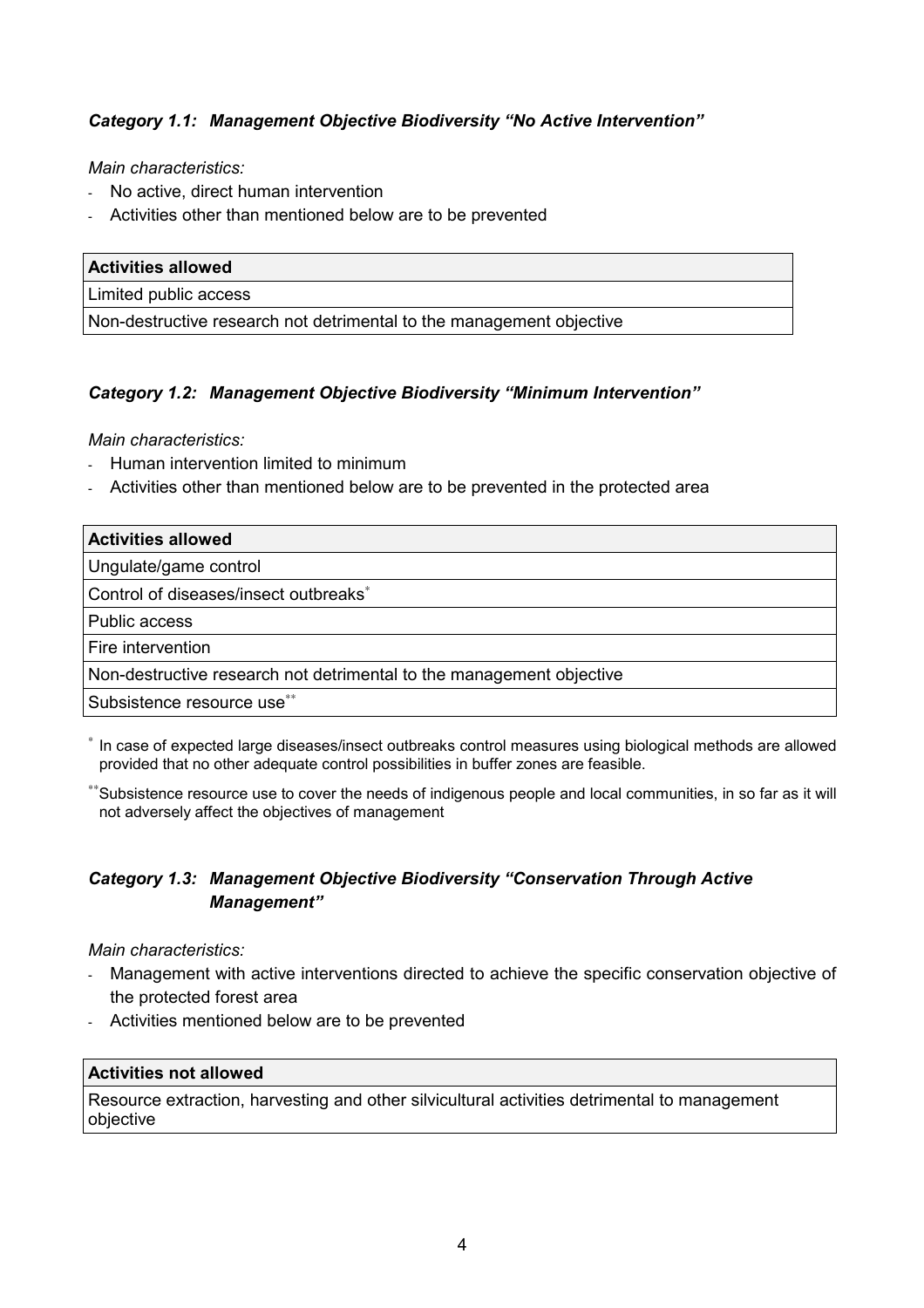## *Category 1.1: Management Objective Biodiversity "No Active Intervention"*

*Main characteristics:*

- No active, direct human intervention
- Activities other than mentioned below are to be prevented

| <b>Activities allowed</b>                                            |
|----------------------------------------------------------------------|
| Limited public access                                                |
| Non-destructive research not detrimental to the management objective |

### *Category 1.2: Management Objective Biodiversity "Minimum Intervention"*

*Main characteristics:*

- Human intervention limited to minimum
- Activities other than mentioned below are to be prevented in the protected area

| <b>Activities allowed</b>                                            |
|----------------------------------------------------------------------|
| Ungulate/game control                                                |
| Control of diseases/insect outbreaks*                                |
| Public access                                                        |
| Fire intervention                                                    |
| Non-destructive research not detrimental to the management objective |
| Subsistence resource use**                                           |

<sup>∗</sup> In case of expected large diseases/insect outbreaks control measures using biological methods are allowed provided that no other adequate control possibilities in buffer zones are feasible.

∗∗Subsistence resource use to cover the needs of indigenous people and local communities, in so far as it will not adversely affect the objectives of management

## *Category 1.3: Management Objective Biodiversity "Conservation Through Active Management"*

*Main characteristics:*

- Management with active interventions directed to achieve the specific conservation objective of the protected forest area
- Activities mentioned below are to be prevented

#### **Activities not allowed**

Resource extraction, harvesting and other silvicultural activities detrimental to management objective